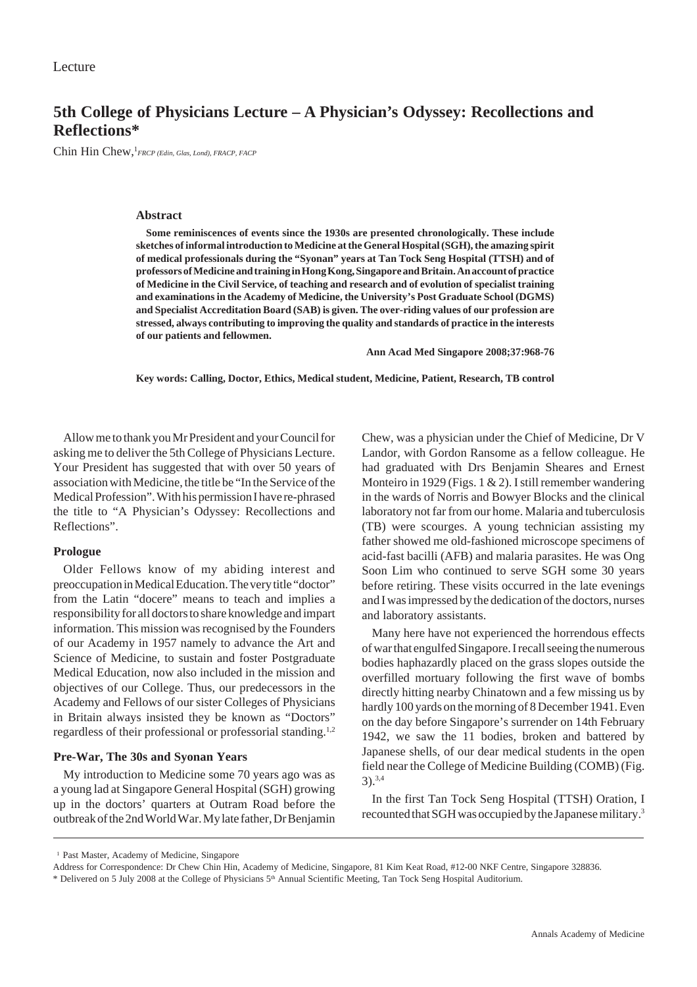# **5th College of Physicians Lecture – A Physician's Odyssey: Recollections and Reflections\***

Chin Hin Chew, <sup>1</sup> FRCP (Edin, Glas, Lond), FRACP, FACP

### **Abstract**

**Some reminiscences of events since the 1930s are presented chronologically. These include sketches of informal introduction to Medicine at the General Hospital (SGH), the amazing spirit of medical professionals during the "Syonan" years at Tan Tock Seng Hospital (TTSH) and of professors of Medicine and training in Hong Kong, Singapore and Britain. An account of practice of Medicine in the Civil Service, of teaching and research and of evolution of specialist training and examinations in the Academy of Medicine, the University's Post Graduate School (DGMS) and Specialist Accreditation Board (SAB) is given. The over-riding values of our profession are stressed, always contributing to improving the quality and standards of practice in the interests of our patients and fellowmen.**

**Ann Acad Med Singapore 2008;37:968-76**

**Key words: Calling, Doctor, Ethics, Medical student, Medicine, Patient, Research, TB control**

Allow me to thank you Mr President and your Council for asking me to deliver the 5th College of Physicians Lecture. Your President has suggested that with over 50 years of association with Medicine, the title be "In the Service of the Medical Profession". With his permission I have re-phrased the title to "A Physician's Odyssey: Recollections and Reflections".

### **Prologue**

Older Fellows know of my abiding interest and preoccupation in Medical Education. The very title "doctor" from the Latin "docere" means to teach and implies a responsibility for all doctors to share knowledge and impart information. This mission was recognised by the Founders of our Academy in 1957 namely to advance the Art and Science of Medicine, to sustain and foster Postgraduate Medical Education, now also included in the mission and objectives of our College. Thus, our predecessors in the Academy and Fellows of our sister Colleges of Physicians in Britain always insisted they be known as "Doctors" regardless of their professional or professorial standing.1,2

### **Pre-War, The 30s and Syonan Years**

My introduction to Medicine some 70 years ago was as a young lad at Singapore General Hospital (SGH) growing up in the doctors' quarters at Outram Road before the outbreak of the 2nd World War. My late father, Dr Benjamin Chew, was a physician under the Chief of Medicine, Dr V Landor, with Gordon Ransome as a fellow colleague. He had graduated with Drs Benjamin Sheares and Ernest Monteiro in 1929 (Figs. 1 & 2). I still remember wandering in the wards of Norris and Bowyer Blocks and the clinical laboratory not far from our home. Malaria and tuberculosis (TB) were scourges. A young technician assisting my father showed me old-fashioned microscope specimens of acid-fast bacilli (AFB) and malaria parasites. He was Ong Soon Lim who continued to serve SGH some 30 years before retiring. These visits occurred in the late evenings and I was impressed by the dedication of the doctors, nurses and laboratory assistants.

Many here have not experienced the horrendous effects of war that engulfed Singapore. I recall seeing the numerous bodies haphazardly placed on the grass slopes outside the overfilled mortuary following the first wave of bombs directly hitting nearby Chinatown and a few missing us by hardly 100 yards on the morning of 8 December 1941. Even on the day before Singapore's surrender on 14th February 1942, we saw the 11 bodies, broken and battered by Japanese shells, of our dear medical students in the open field near the College of Medicine Building (COMB) (Fig. 3).3,4

In the first Tan Tock Seng Hospital (TTSH) Oration, I recounted that SGH was occupied by the Japanese military.3

<sup>&</sup>lt;sup>1</sup> Past Master, Academy of Medicine, Singapore

Address for Correspondence: Dr Chew Chin Hin, Academy of Medicine, Singapore, 81 Kim Keat Road, #12-00 NKF Centre, Singapore 328836.

<sup>\*</sup> Delivered on 5 July 2008 at the College of Physicians 5th Annual Scientific Meeting, Tan Tock Seng Hospital Auditorium.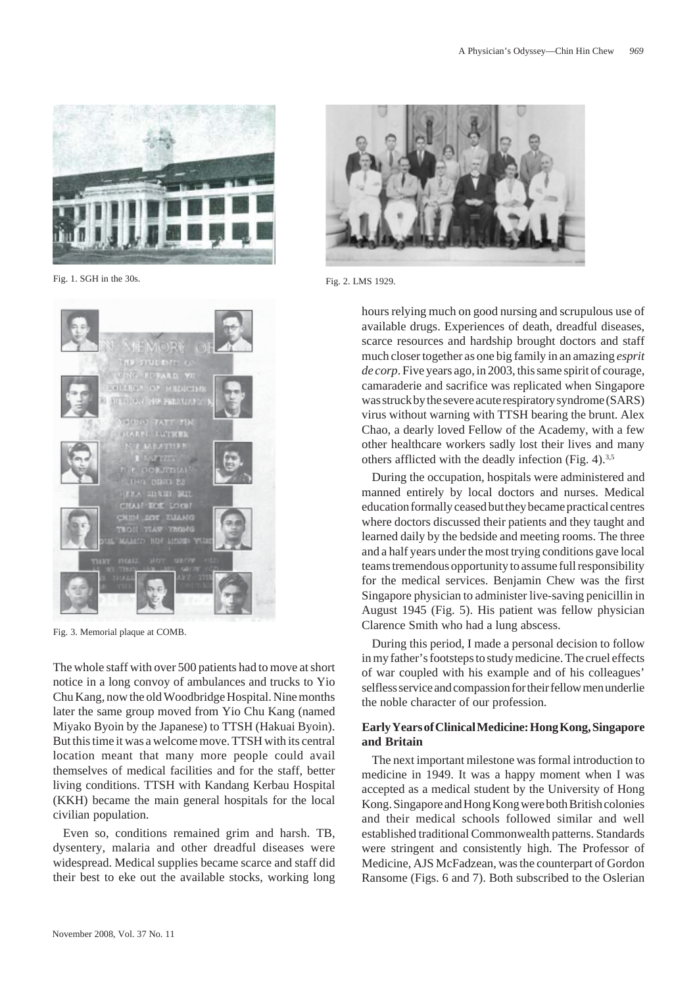

Fig. 1. SGH in the 30s. Fig. 2. LMS 1929.



Fig. 3. Memorial plaque at COMB.

The whole staff with over 500 patients had to move at short notice in a long convoy of ambulances and trucks to Yio Chu Kang, now the old Woodbridge Hospital. Nine months later the same group moved from Yio Chu Kang (named Miyako Byoin by the Japanese) to TTSH (Hakuai Byoin). But this time it was a welcome move. TTSH with its central location meant that many more people could avail themselves of medical facilities and for the staff, better living conditions. TTSH with Kandang Kerbau Hospital (KKH) became the main general hospitals for the local civilian population.

Even so, conditions remained grim and harsh. TB, dysentery, malaria and other dreadful diseases were widespread. Medical supplies became scarce and staff did their best to eke out the available stocks, working long



hours relying much on good nursing and scrupulous use of available drugs. Experiences of death, dreadful diseases, scarce resources and hardship brought doctors and staff much closer together as one big family in an amazing *esprit de corp*. Five years ago, in 2003, this same spirit of courage, camaraderie and sacrifice was replicated when Singapore was struck by the severe acute respiratory syndrome (SARS) virus without warning with TTSH bearing the brunt. Alex Chao, a dearly loved Fellow of the Academy, with a few other healthcare workers sadly lost their lives and many others afflicted with the deadly infection (Fig. 4).<sup>3,5</sup>

During the occupation, hospitals were administered and manned entirely by local doctors and nurses. Medical education formally ceased but they became practical centres where doctors discussed their patients and they taught and learned daily by the bedside and meeting rooms. The three and a half years under the most trying conditions gave local teams tremendous opportunity to assume full responsibility for the medical services. Benjamin Chew was the first Singapore physician to administer live-saving penicillin in August 1945 (Fig. 5). His patient was fellow physician Clarence Smith who had a lung abscess.

During this period, I made a personal decision to follow in my father's footsteps to study medicine. The cruel effects of war coupled with his example and of his colleagues' selfless service and compassion for their fellow men underlie the noble character of our profession.

# **Early Years of Clinical Medicine: Hong Kong, Singapore and Britain**

The next important milestone was formal introduction to medicine in 1949. It was a happy moment when I was accepted as a medical student by the University of Hong Kong. Singapore and Hong Kong were both British colonies and their medical schools followed similar and well established traditional Commonwealth patterns. Standards were stringent and consistently high. The Professor of Medicine, AJS McFadzean, was the counterpart of Gordon Ransome (Figs. 6 and 7). Both subscribed to the Oslerian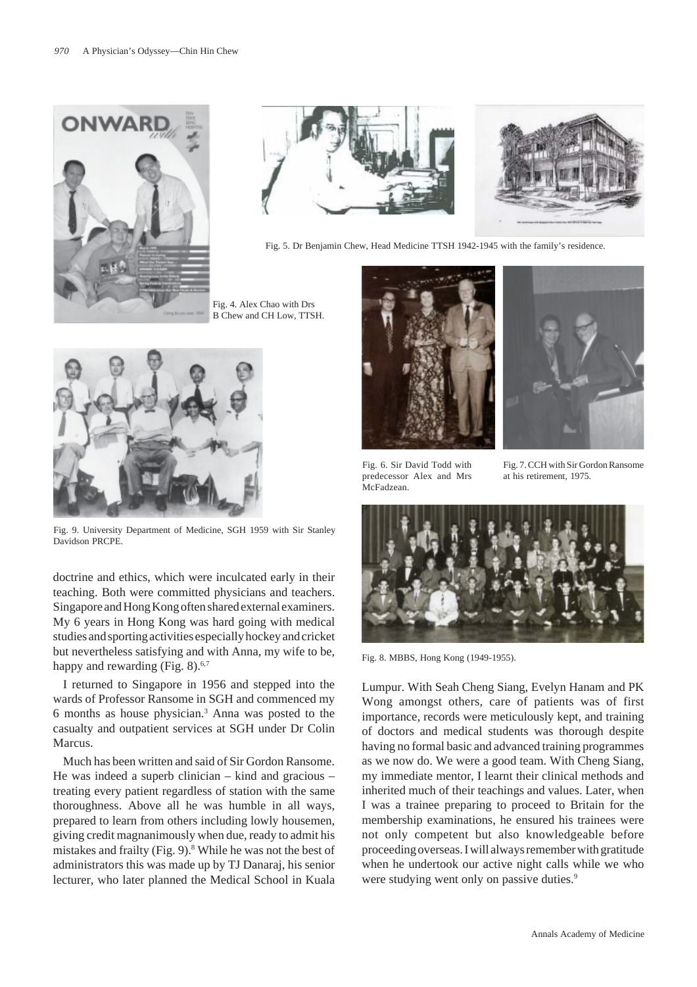



Fig. 5. Dr Benjamin Chew, Head Medicine TTSH 1942-1945 with the family's residence.

Fig. 4. Alex Chao with Drs B Chew and CH Low, TTSH.



Fig. 9. University Department of Medicine, SGH 1959 with Sir Stanley Davidson PRCPE.

doctrine and ethics, which were inculcated early in their teaching. Both were committed physicians and teachers. Singapore and Hong Kong often shared external examiners. My 6 years in Hong Kong was hard going with medical studies and sporting activities especially hockey and cricket but nevertheless satisfying and with Anna, my wife to be, happy and rewarding (Fig. 8).<sup>6,7</sup>

I returned to Singapore in 1956 and stepped into the wards of Professor Ransome in SGH and commenced my 6 months as house physician.3 Anna was posted to the casualty and outpatient services at SGH under Dr Colin Marcus.

Much has been written and said of Sir Gordon Ransome. He was indeed a superb clinician – kind and gracious – treating every patient regardless of station with the same thoroughness. Above all he was humble in all ways, prepared to learn from others including lowly housemen, giving credit magnanimously when due, ready to admit his mistakes and frailty (Fig. 9).<sup>8</sup> While he was not the best of administrators this was made up by TJ Danaraj, his senior lecturer, who later planned the Medical School in Kuala





Fig. 6. Sir David Todd with predecessor Alex and Mrs McFadzean.

Fig. 7. CCH with Sir Gordon Ransome at his retirement, 1975.



Fig. 8. MBBS, Hong Kong (1949-1955).

Lumpur. With Seah Cheng Siang, Evelyn Hanam and PK Wong amongst others, care of patients was of first importance, records were meticulously kept, and training of doctors and medical students was thorough despite having no formal basic and advanced training programmes as we now do. We were a good team. With Cheng Siang, my immediate mentor, I learnt their clinical methods and inherited much of their teachings and values. Later, when I was a trainee preparing to proceed to Britain for the membership examinations, he ensured his trainees were not only competent but also knowledgeable before proceeding overseas. I will always remember with gratitude when he undertook our active night calls while we who were studying went only on passive duties.<sup>9</sup>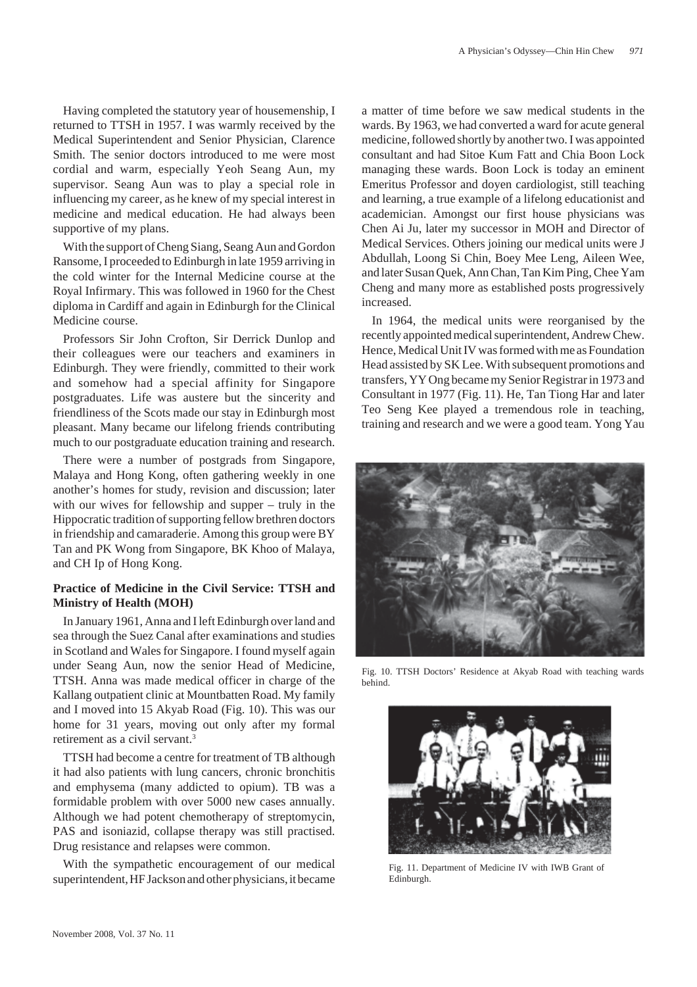Having completed the statutory year of housemenship, I returned to TTSH in 1957. I was warmly received by the Medical Superintendent and Senior Physician, Clarence Smith. The senior doctors introduced to me were most cordial and warm, especially Yeoh Seang Aun, my supervisor. Seang Aun was to play a special role in influencing my career, as he knew of my special interest in medicine and medical education. He had always been supportive of my plans.

With the support of Cheng Siang, Seang Aun and Gordon Ransome, I proceeded to Edinburgh in late 1959 arriving in the cold winter for the Internal Medicine course at the Royal Infirmary. This was followed in 1960 for the Chest diploma in Cardiff and again in Edinburgh for the Clinical Medicine course.

Professors Sir John Crofton, Sir Derrick Dunlop and their colleagues were our teachers and examiners in Edinburgh. They were friendly, committed to their work and somehow had a special affinity for Singapore postgraduates. Life was austere but the sincerity and friendliness of the Scots made our stay in Edinburgh most pleasant. Many became our lifelong friends contributing much to our postgraduate education training and research.

There were a number of postgrads from Singapore, Malaya and Hong Kong, often gathering weekly in one another's homes for study, revision and discussion; later with our wives for fellowship and supper – truly in the Hippocratic tradition of supporting fellow brethren doctors in friendship and camaraderie. Among this group were BY Tan and PK Wong from Singapore, BK Khoo of Malaya, and CH Ip of Hong Kong.

### **Practice of Medicine in the Civil Service: TTSH and Ministry of Health (MOH)**

In January 1961, Anna and I left Edinburgh over land and sea through the Suez Canal after examinations and studies in Scotland and Wales for Singapore. I found myself again under Seang Aun, now the senior Head of Medicine, TTSH. Anna was made medical officer in charge of the Kallang outpatient clinic at Mountbatten Road. My family and I moved into 15 Akyab Road (Fig. 10). This was our home for 31 years, moving out only after my formal retirement as a civil servant.<sup>3</sup>

TTSH had become a centre for treatment of TB although it had also patients with lung cancers, chronic bronchitis and emphysema (many addicted to opium). TB was a formidable problem with over 5000 new cases annually. Although we had potent chemotherapy of streptomycin, PAS and isoniazid, collapse therapy was still practised. Drug resistance and relapses were common.

With the sympathetic encouragement of our medical superintendent, HF Jackson and other physicians, it became

a matter of time before we saw medical students in the wards. By 1963, we had converted a ward for acute general medicine, followed shortly by another two. I was appointed consultant and had Sitoe Kum Fatt and Chia Boon Lock managing these wards. Boon Lock is today an eminent Emeritus Professor and doyen cardiologist, still teaching and learning, a true example of a lifelong educationist and academician. Amongst our first house physicians was Chen Ai Ju, later my successor in MOH and Director of Medical Services. Others joining our medical units were J Abdullah, Loong Si Chin, Boey Mee Leng, Aileen Wee, and later Susan Quek, Ann Chan, Tan Kim Ping, Chee Yam Cheng and many more as established posts progressively increased.

In 1964, the medical units were reorganised by the recently appointed medical superintendent, Andrew Chew. Hence, Medical Unit IV was formed with me as Foundation Head assisted by SK Lee. With subsequent promotions and transfers, YY Ong became my Senior Registrar in 1973 and Consultant in 1977 (Fig. 11). He, Tan Tiong Har and later Teo Seng Kee played a tremendous role in teaching, training and research and we were a good team. Yong Yau



Fig. 10. TTSH Doctors' Residence at Akyab Road with teaching wards behind.



Fig. 11. Department of Medicine IV with IWB Grant of Edinburgh.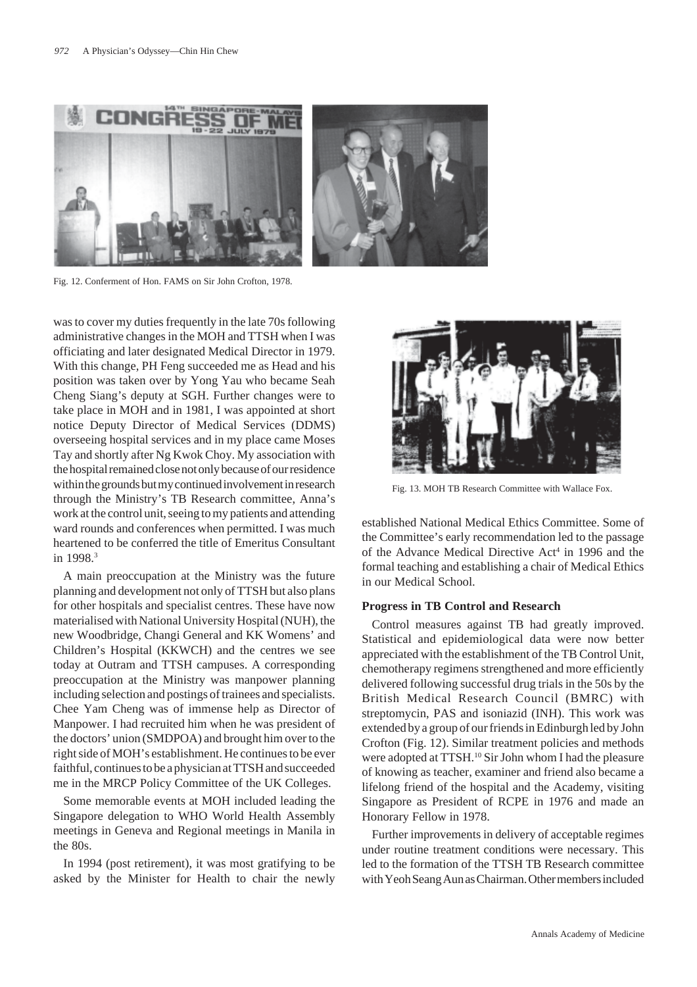

Fig. 12. Conferment of Hon. FAMS on Sir John Crofton, 1978.

was to cover my duties frequently in the late 70s following administrative changes in the MOH and TTSH when I was officiating and later designated Medical Director in 1979. With this change, PH Feng succeeded me as Head and his position was taken over by Yong Yau who became Seah Cheng Siang's deputy at SGH. Further changes were to take place in MOH and in 1981, I was appointed at short notice Deputy Director of Medical Services (DDMS) overseeing hospital services and in my place came Moses Tay and shortly after Ng Kwok Choy. My association with the hospital remained close not only because of our residence within the grounds but my continued involvement in research through the Ministry's TB Research committee, Anna's work at the control unit, seeing to my patients and attending ward rounds and conferences when permitted. I was much heartened to be conferred the title of Emeritus Consultant in 1998<sup>3</sup>

A main preoccupation at the Ministry was the future planning and development not only of TTSH but also plans for other hospitals and specialist centres. These have now materialised with National University Hospital (NUH), the new Woodbridge, Changi General and KK Womens' and Children's Hospital (KKWCH) and the centres we see today at Outram and TTSH campuses. A corresponding preoccupation at the Ministry was manpower planning including selection and postings of trainees and specialists. Chee Yam Cheng was of immense help as Director of Manpower. I had recruited him when he was president of the doctors' union (SMDPOA) and brought him over to the right side of MOH's establishment. He continues to be ever faithful, continues to be a physician at TTSH and succeeded me in the MRCP Policy Committee of the UK Colleges.

Some memorable events at MOH included leading the Singapore delegation to WHO World Health Assembly meetings in Geneva and Regional meetings in Manila in the 80s.

In 1994 (post retirement), it was most gratifying to be asked by the Minister for Health to chair the newly



Fig. 13. MOH TB Research Committee with Wallace Fox.

established National Medical Ethics Committee. Some of the Committee's early recommendation led to the passage of the Advance Medical Directive Act<sup>4</sup> in 1996 and the formal teaching and establishing a chair of Medical Ethics in our Medical School.

#### **Progress in TB Control and Research**

Control measures against TB had greatly improved. Statistical and epidemiological data were now better appreciated with the establishment of the TB Control Unit, chemotherapy regimens strengthened and more efficiently delivered following successful drug trials in the 50s by the British Medical Research Council (BMRC) with streptomycin, PAS and isoniazid (INH). This work was extended by a group of our friends in Edinburgh led by John Crofton (Fig. 12). Similar treatment policies and methods were adopted at TTSH.<sup>10</sup> Sir John whom I had the pleasure of knowing as teacher, examiner and friend also became a lifelong friend of the hospital and the Academy, visiting Singapore as President of RCPE in 1976 and made an Honorary Fellow in 1978.

Further improvements in delivery of acceptable regimes under routine treatment conditions were necessary. This led to the formation of the TTSH TB Research committee with Yeoh Seang Aun as Chairman. Other members included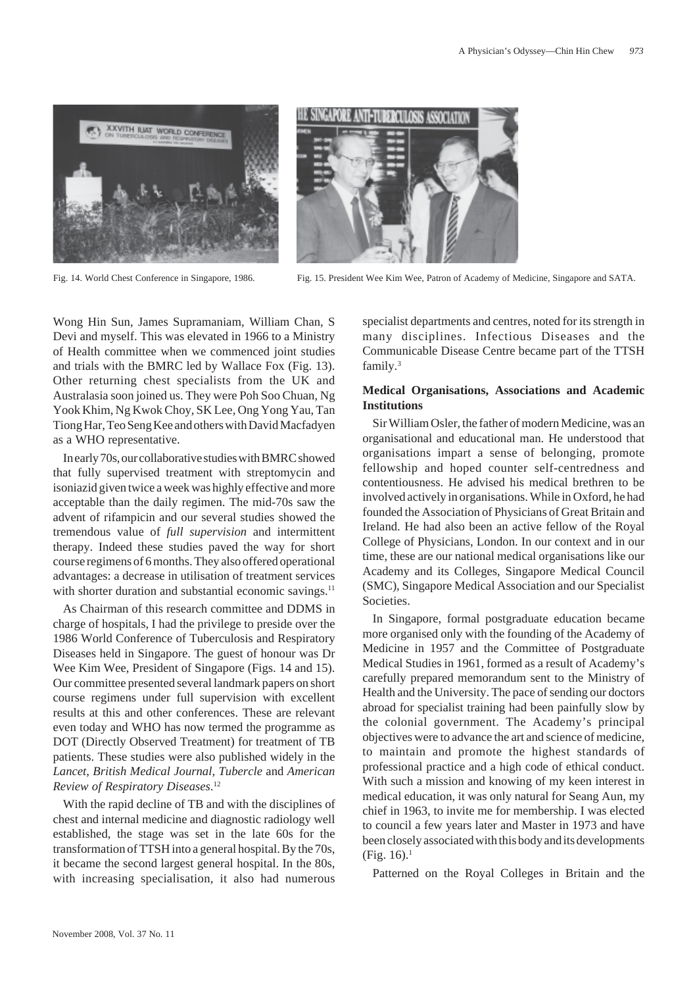





Fig. 14. World Chest Conference in Singapore, 1986. Fig. 15. President Wee Kim Wee, Patron of Academy of Medicine, Singapore and SATA.

Wong Hin Sun, James Supramaniam, William Chan, S Devi and myself. This was elevated in 1966 to a Ministry of Health committee when we commenced joint studies and trials with the BMRC led by Wallace Fox (Fig. 13). Other returning chest specialists from the UK and Australasia soon joined us. They were Poh Soo Chuan, Ng Yook Khim, Ng Kwok Choy, SK Lee, Ong Yong Yau, Tan Tiong Har, Teo Seng Kee and others with David Macfadyen as a WHO representative.

In early 70s, our collaborative studies with BMRC showed that fully supervised treatment with streptomycin and isoniazid given twice a week was highly effective and more acceptable than the daily regimen. The mid-70s saw the advent of rifampicin and our several studies showed the tremendous value of *full supervision* and intermittent therapy. Indeed these studies paved the way for short course regimens of 6 months. They also offered operational advantages: a decrease in utilisation of treatment services with shorter duration and substantial economic savings.<sup>11</sup>

As Chairman of this research committee and DDMS in charge of hospitals, I had the privilege to preside over the 1986 World Conference of Tuberculosis and Respiratory Diseases held in Singapore. The guest of honour was Dr Wee Kim Wee, President of Singapore (Figs. 14 and 15). Our committee presented several landmark papers on short course regimens under full supervision with excellent results at this and other conferences. These are relevant even today and WHO has now termed the programme as DOT (Directly Observed Treatment) for treatment of TB patients. These studies were also published widely in the *Lancet*, *British Medical Journal*, *Tubercle* and *American Review of Respiratory Diseases*. 12

With the rapid decline of TB and with the disciplines of chest and internal medicine and diagnostic radiology well established, the stage was set in the late 60s for the transformation of TTSH into a general hospital. By the 70s, it became the second largest general hospital. In the 80s, with increasing specialisation, it also had numerous specialist departments and centres, noted for its strength in many disciplines. Infectious Diseases and the Communicable Disease Centre became part of the TTSH family.3

# **Medical Organisations, Associations and Academic Institutions**

Sir William Osler, the father of modern Medicine, was an organisational and educational man. He understood that organisations impart a sense of belonging, promote fellowship and hoped counter self-centredness and contentiousness. He advised his medical brethren to be involved actively in organisations. While in Oxford, he had founded the Association of Physicians of Great Britain and Ireland. He had also been an active fellow of the Royal College of Physicians, London. In our context and in our time, these are our national medical organisations like our Academy and its Colleges, Singapore Medical Council (SMC), Singapore Medical Association and our Specialist Societies.

In Singapore, formal postgraduate education became more organised only with the founding of the Academy of Medicine in 1957 and the Committee of Postgraduate Medical Studies in 1961, formed as a result of Academy's carefully prepared memorandum sent to the Ministry of Health and the University. The pace of sending our doctors abroad for specialist training had been painfully slow by the colonial government. The Academy's principal objectives were to advance the art and science of medicine, to maintain and promote the highest standards of professional practice and a high code of ethical conduct. With such a mission and knowing of my keen interest in medical education, it was only natural for Seang Aun, my chief in 1963, to invite me for membership. I was elected to council a few years later and Master in 1973 and have been closely associated with this body and its developments  $(Fig. 16).<sup>1</sup>$ 

Patterned on the Royal Colleges in Britain and the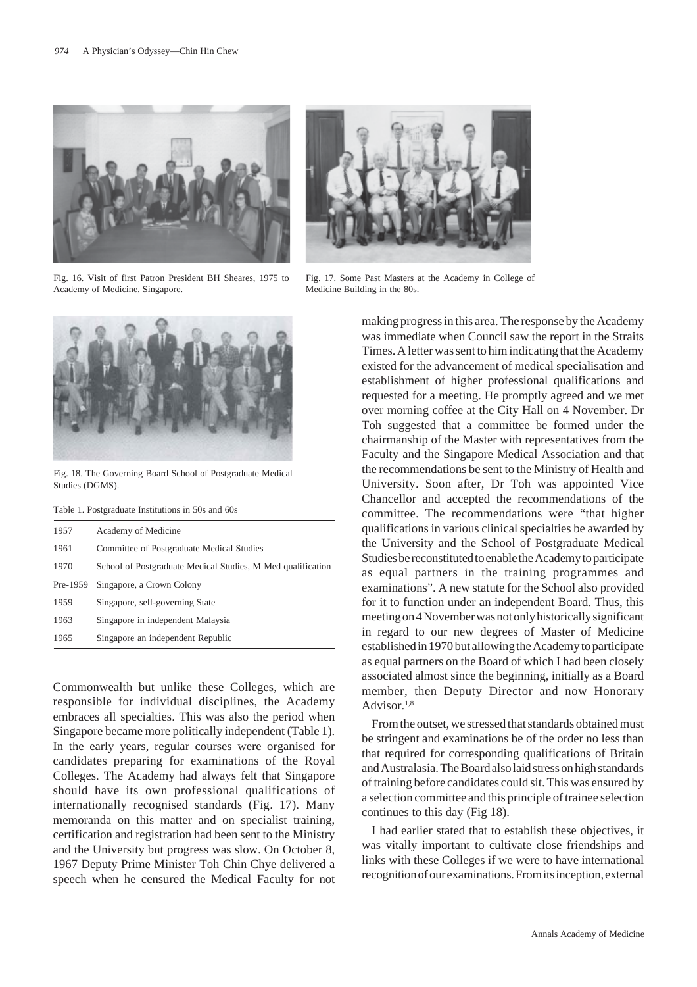





Fig. 18. The Governing Board School of Postgraduate Medical Studies (DGMS).

Table 1. Postgraduate Institutions in 50s and 60s

| 1957     | Academy of Medicine                                         |
|----------|-------------------------------------------------------------|
| 1961     | Committee of Postgraduate Medical Studies                   |
| 1970     | School of Postgraduate Medical Studies, M Med qualification |
| Pre-1959 | Singapore, a Crown Colony                                   |
| 1959     | Singapore, self-governing State                             |
| 1963     | Singapore in independent Malaysia                           |
| 1965     | Singapore an independent Republic                           |

Commonwealth but unlike these Colleges, which are responsible for individual disciplines, the Academy embraces all specialties. This was also the period when Singapore became more politically independent (Table 1). In the early years, regular courses were organised for candidates preparing for examinations of the Royal Colleges. The Academy had always felt that Singapore should have its own professional qualifications of internationally recognised standards (Fig. 17). Many memoranda on this matter and on specialist training, certification and registration had been sent to the Ministry and the University but progress was slow. On October 8, 1967 Deputy Prime Minister Toh Chin Chye delivered a speech when he censured the Medical Faculty for not



Fig. 17. Some Past Masters at the Academy in College of Medicine Building in the 80s.

making progress in this area. The response by the Academy was immediate when Council saw the report in the Straits Times. A letter was sent to him indicating that the Academy existed for the advancement of medical specialisation and establishment of higher professional qualifications and requested for a meeting. He promptly agreed and we met over morning coffee at the City Hall on 4 November. Dr Toh suggested that a committee be formed under the chairmanship of the Master with representatives from the Faculty and the Singapore Medical Association and that the recommendations be sent to the Ministry of Health and University. Soon after, Dr Toh was appointed Vice Chancellor and accepted the recommendations of the committee. The recommendations were "that higher qualifications in various clinical specialties be awarded by the University and the School of Postgraduate Medical Studies be reconstituted to enable the Academy to participate as equal partners in the training programmes and examinations". A new statute for the School also provided for it to function under an independent Board. Thus, this meeting on 4 November was not only historically significant in regard to our new degrees of Master of Medicine established in 1970 but allowing the Academy to participate as equal partners on the Board of which I had been closely associated almost since the beginning, initially as a Board member, then Deputy Director and now Honorary Advisor $1,8$ 

From the outset, we stressed that standards obtained must be stringent and examinations be of the order no less than that required for corresponding qualifications of Britain and Australasia. The Board also laid stress on high standards of training before candidates could sit. This was ensured by a selection committee and this principle of trainee selection continues to this day (Fig 18).

I had earlier stated that to establish these objectives, it was vitally important to cultivate close friendships and links with these Colleges if we were to have international recognition of our examinations. From its inception, external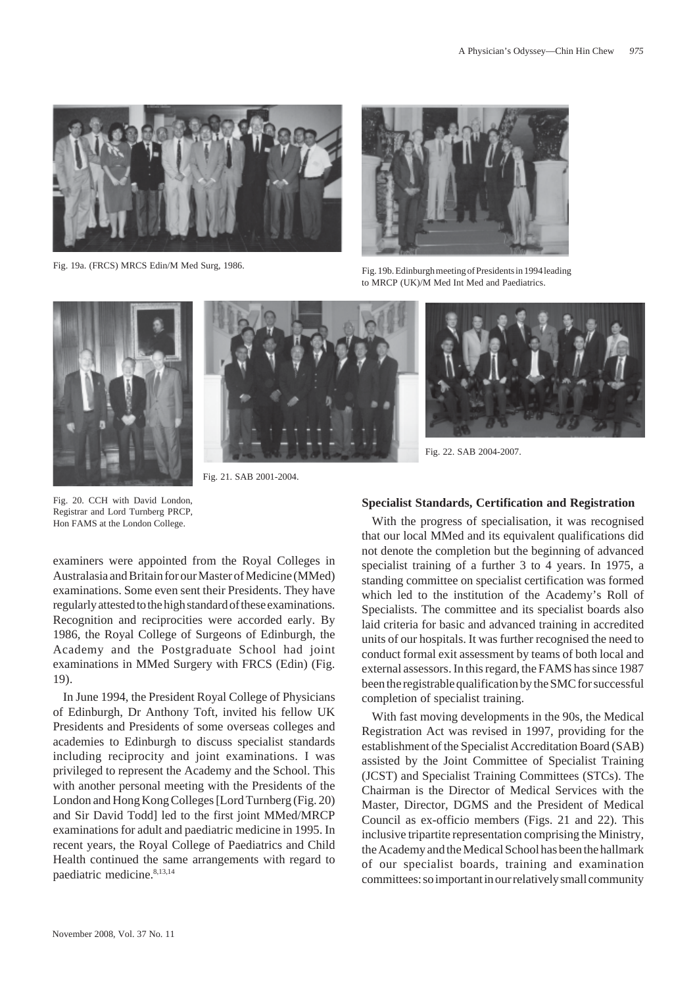



Fig. 19a. (FRCS) MRCS Edin/M Med Surg, 1986.<br>Fig. 19b. Edinburgh meeting of Presidents in 1994 leading to MRCP (UK)/M Med Int Med and Paediatrics.





Fig. 21. SAB 2001-2004.



Fig. 22. SAB 2004-2007.

Fig. 20. CCH with David London, Registrar and Lord Turnberg PRCP, Hon FAMS at the London College.

examiners were appointed from the Royal Colleges in Australasia and Britain for our Master of Medicine (MMed) examinations. Some even sent their Presidents. They have regularly attested to the high standard of these examinations. Recognition and reciprocities were accorded early. By 1986, the Royal College of Surgeons of Edinburgh, the Academy and the Postgraduate School had joint examinations in MMed Surgery with FRCS (Edin) (Fig. 19).

In June 1994, the President Royal College of Physicians of Edinburgh, Dr Anthony Toft, invited his fellow UK Presidents and Presidents of some overseas colleges and academies to Edinburgh to discuss specialist standards including reciprocity and joint examinations. I was privileged to represent the Academy and the School. This with another personal meeting with the Presidents of the London and Hong Kong Colleges [Lord Turnberg (Fig. 20) and Sir David Todd] led to the first joint MMed/MRCP examinations for adult and paediatric medicine in 1995. In recent years, the Royal College of Paediatrics and Child Health continued the same arrangements with regard to paediatric medicine.8,13,14

### **Specialist Standards, Certification and Registration**

With the progress of specialisation, it was recognised that our local MMed and its equivalent qualifications did not denote the completion but the beginning of advanced specialist training of a further 3 to 4 years. In 1975, a standing committee on specialist certification was formed which led to the institution of the Academy's Roll of Specialists. The committee and its specialist boards also laid criteria for basic and advanced training in accredited units of our hospitals. It was further recognised the need to conduct formal exit assessment by teams of both local and external assessors. In this regard, the FAMS has since 1987 been the registrable qualification by the SMC for successful completion of specialist training.

With fast moving developments in the 90s, the Medical Registration Act was revised in 1997, providing for the establishment of the Specialist Accreditation Board (SAB) assisted by the Joint Committee of Specialist Training (JCST) and Specialist Training Committees (STCs). The Chairman is the Director of Medical Services with the Master, Director, DGMS and the President of Medical Council as ex-officio members (Figs. 21 and 22). This inclusive tripartite representation comprising the Ministry, the Academy and the Medical School has been the hallmark of our specialist boards, training and examination committees: so important in our relatively small community